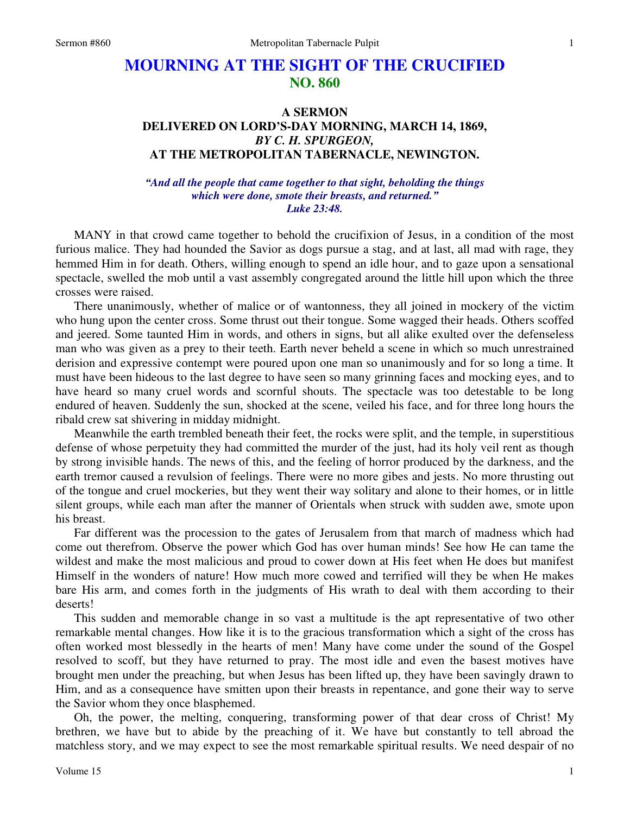# **MOURNING AT THE SIGHT OF THE CRUCIFIED NO. 860**

## **A SERMON DELIVERED ON LORD'S-DAY MORNING, MARCH 14, 1869,**  *BY C. H. SPURGEON,*  **AT THE METROPOLITAN TABERNACLE, NEWINGTON.**

### *"And all the people that came together to that sight, beholding the things which were done, smote their breasts, and returned." Luke 23:48.*

MANY in that crowd came together to behold the crucifixion of Jesus, in a condition of the most furious malice. They had hounded the Savior as dogs pursue a stag, and at last, all mad with rage, they hemmed Him in for death. Others, willing enough to spend an idle hour, and to gaze upon a sensational spectacle, swelled the mob until a vast assembly congregated around the little hill upon which the three crosses were raised.

 There unanimously, whether of malice or of wantonness, they all joined in mockery of the victim who hung upon the center cross. Some thrust out their tongue. Some wagged their heads. Others scoffed and jeered. Some taunted Him in words, and others in signs, but all alike exulted over the defenseless man who was given as a prey to their teeth. Earth never beheld a scene in which so much unrestrained derision and expressive contempt were poured upon one man so unanimously and for so long a time. It must have been hideous to the last degree to have seen so many grinning faces and mocking eyes, and to have heard so many cruel words and scornful shouts. The spectacle was too detestable to be long endured of heaven. Suddenly the sun, shocked at the scene, veiled his face, and for three long hours the ribald crew sat shivering in midday midnight.

 Meanwhile the earth trembled beneath their feet, the rocks were split, and the temple, in superstitious defense of whose perpetuity they had committed the murder of the just, had its holy veil rent as though by strong invisible hands. The news of this, and the feeling of horror produced by the darkness, and the earth tremor caused a revulsion of feelings. There were no more gibes and jests. No more thrusting out of the tongue and cruel mockeries, but they went their way solitary and alone to their homes, or in little silent groups, while each man after the manner of Orientals when struck with sudden awe, smote upon his breast.

 Far different was the procession to the gates of Jerusalem from that march of madness which had come out therefrom. Observe the power which God has over human minds! See how He can tame the wildest and make the most malicious and proud to cower down at His feet when He does but manifest Himself in the wonders of nature! How much more cowed and terrified will they be when He makes bare His arm, and comes forth in the judgments of His wrath to deal with them according to their deserts!

 This sudden and memorable change in so vast a multitude is the apt representative of two other remarkable mental changes. How like it is to the gracious transformation which a sight of the cross has often worked most blessedly in the hearts of men! Many have come under the sound of the Gospel resolved to scoff, but they have returned to pray. The most idle and even the basest motives have brought men under the preaching, but when Jesus has been lifted up, they have been savingly drawn to Him, and as a consequence have smitten upon their breasts in repentance, and gone their way to serve the Savior whom they once blasphemed.

 Oh, the power, the melting, conquering, transforming power of that dear cross of Christ! My brethren, we have but to abide by the preaching of it. We have but constantly to tell abroad the matchless story, and we may expect to see the most remarkable spiritual results. We need despair of no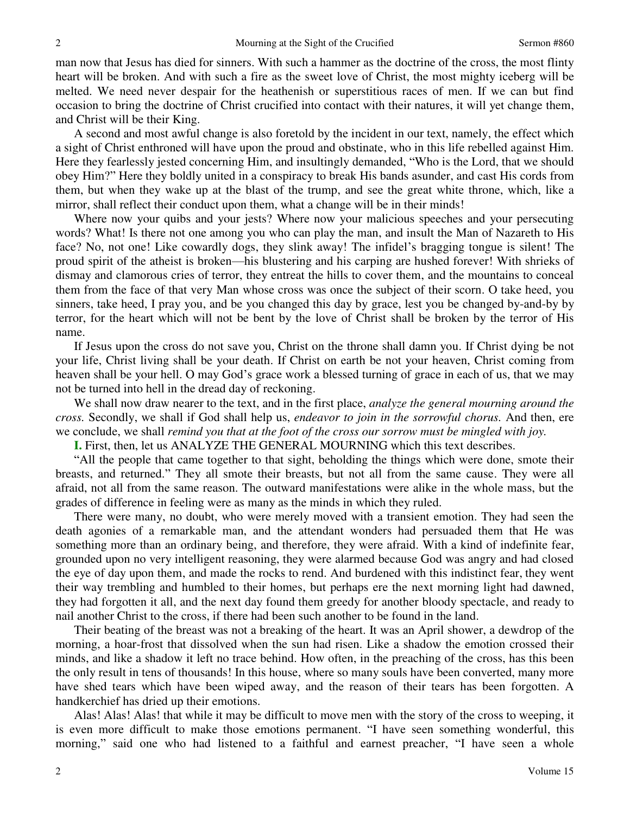man now that Jesus has died for sinners. With such a hammer as the doctrine of the cross, the most flinty heart will be broken. And with such a fire as the sweet love of Christ, the most mighty iceberg will be melted. We need never despair for the heathenish or superstitious races of men. If we can but find occasion to bring the doctrine of Christ crucified into contact with their natures, it will yet change them, and Christ will be their King.

 A second and most awful change is also foretold by the incident in our text, namely, the effect which a sight of Christ enthroned will have upon the proud and obstinate, who in this life rebelled against Him. Here they fearlessly jested concerning Him, and insultingly demanded, "Who is the Lord, that we should obey Him?" Here they boldly united in a conspiracy to break His bands asunder, and cast His cords from them, but when they wake up at the blast of the trump, and see the great white throne, which, like a mirror, shall reflect their conduct upon them, what a change will be in their minds!

 Where now your quibs and your jests? Where now your malicious speeches and your persecuting words? What! Is there not one among you who can play the man, and insult the Man of Nazareth to His face? No, not one! Like cowardly dogs, they slink away! The infidel's bragging tongue is silent! The proud spirit of the atheist is broken—his blustering and his carping are hushed forever! With shrieks of dismay and clamorous cries of terror, they entreat the hills to cover them, and the mountains to conceal them from the face of that very Man whose cross was once the subject of their scorn. O take heed, you sinners, take heed, I pray you, and be you changed this day by grace, lest you be changed by-and-by by terror, for the heart which will not be bent by the love of Christ shall be broken by the terror of His name.

 If Jesus upon the cross do not save you, Christ on the throne shall damn you. If Christ dying be not your life, Christ living shall be your death. If Christ on earth be not your heaven, Christ coming from heaven shall be your hell. O may God's grace work a blessed turning of grace in each of us, that we may not be turned into hell in the dread day of reckoning.

 We shall now draw nearer to the text, and in the first place, *analyze the general mourning around the cross.* Secondly, we shall if God shall help us, *endeavor to join in the sorrowful chorus.* And then, ere we conclude, we shall *remind you that at the foot of the cross our sorrow must be mingled with joy.* 

**I.** First, then, let us ANALYZE THE GENERAL MOURNING which this text describes.

"All the people that came together to that sight, beholding the things which were done, smote their breasts, and returned." They all smote their breasts, but not all from the same cause. They were all afraid, not all from the same reason. The outward manifestations were alike in the whole mass, but the grades of difference in feeling were as many as the minds in which they ruled.

 There were many, no doubt, who were merely moved with a transient emotion. They had seen the death agonies of a remarkable man, and the attendant wonders had persuaded them that He was something more than an ordinary being, and therefore, they were afraid. With a kind of indefinite fear, grounded upon no very intelligent reasoning, they were alarmed because God was angry and had closed the eye of day upon them, and made the rocks to rend. And burdened with this indistinct fear, they went their way trembling and humbled to their homes, but perhaps ere the next morning light had dawned, they had forgotten it all, and the next day found them greedy for another bloody spectacle, and ready to nail another Christ to the cross, if there had been such another to be found in the land.

 Their beating of the breast was not a breaking of the heart. It was an April shower, a dewdrop of the morning, a hoar-frost that dissolved when the sun had risen. Like a shadow the emotion crossed their minds, and like a shadow it left no trace behind. How often, in the preaching of the cross, has this been the only result in tens of thousands! In this house, where so many souls have been converted, many more have shed tears which have been wiped away, and the reason of their tears has been forgotten. A handkerchief has dried up their emotions.

 Alas! Alas! Alas! that while it may be difficult to move men with the story of the cross to weeping, it is even more difficult to make those emotions permanent. "I have seen something wonderful, this morning," said one who had listened to a faithful and earnest preacher, "I have seen a whole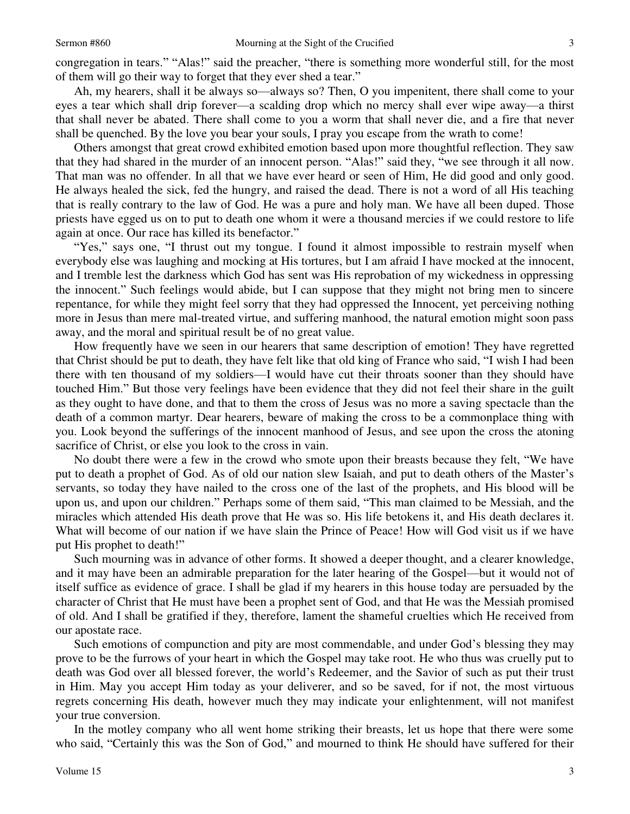congregation in tears." "Alas!" said the preacher, "there is something more wonderful still, for the most of them will go their way to forget that they ever shed a tear."

 Ah, my hearers, shall it be always so—always so? Then, O you impenitent, there shall come to your eyes a tear which shall drip forever—a scalding drop which no mercy shall ever wipe away—a thirst that shall never be abated. There shall come to you a worm that shall never die, and a fire that never shall be quenched. By the love you bear your souls, I pray you escape from the wrath to come!

 Others amongst that great crowd exhibited emotion based upon more thoughtful reflection. They saw that they had shared in the murder of an innocent person. "Alas!" said they, "we see through it all now. That man was no offender. In all that we have ever heard or seen of Him, He did good and only good. He always healed the sick, fed the hungry, and raised the dead. There is not a word of all His teaching that is really contrary to the law of God. He was a pure and holy man. We have all been duped. Those priests have egged us on to put to death one whom it were a thousand mercies if we could restore to life again at once. Our race has killed its benefactor."

"Yes," says one, "I thrust out my tongue. I found it almost impossible to restrain myself when everybody else was laughing and mocking at His tortures, but I am afraid I have mocked at the innocent, and I tremble lest the darkness which God has sent was His reprobation of my wickedness in oppressing the innocent." Such feelings would abide, but I can suppose that they might not bring men to sincere repentance, for while they might feel sorry that they had oppressed the Innocent, yet perceiving nothing more in Jesus than mere mal-treated virtue, and suffering manhood, the natural emotion might soon pass away, and the moral and spiritual result be of no great value.

 How frequently have we seen in our hearers that same description of emotion! They have regretted that Christ should be put to death, they have felt like that old king of France who said, "I wish I had been there with ten thousand of my soldiers—I would have cut their throats sooner than they should have touched Him." But those very feelings have been evidence that they did not feel their share in the guilt as they ought to have done, and that to them the cross of Jesus was no more a saving spectacle than the death of a common martyr. Dear hearers, beware of making the cross to be a commonplace thing with you. Look beyond the sufferings of the innocent manhood of Jesus, and see upon the cross the atoning sacrifice of Christ, or else you look to the cross in vain.

 No doubt there were a few in the crowd who smote upon their breasts because they felt, "We have put to death a prophet of God. As of old our nation slew Isaiah, and put to death others of the Master's servants, so today they have nailed to the cross one of the last of the prophets, and His blood will be upon us, and upon our children." Perhaps some of them said, "This man claimed to be Messiah, and the miracles which attended His death prove that He was so. His life betokens it, and His death declares it. What will become of our nation if we have slain the Prince of Peace! How will God visit us if we have put His prophet to death!"

 Such mourning was in advance of other forms. It showed a deeper thought, and a clearer knowledge, and it may have been an admirable preparation for the later hearing of the Gospel—but it would not of itself suffice as evidence of grace. I shall be glad if my hearers in this house today are persuaded by the character of Christ that He must have been a prophet sent of God, and that He was the Messiah promised of old. And I shall be gratified if they, therefore, lament the shameful cruelties which He received from our apostate race.

 Such emotions of compunction and pity are most commendable, and under God's blessing they may prove to be the furrows of your heart in which the Gospel may take root. He who thus was cruelly put to death was God over all blessed forever, the world's Redeemer, and the Savior of such as put their trust in Him. May you accept Him today as your deliverer, and so be saved, for if not, the most virtuous regrets concerning His death, however much they may indicate your enlightenment, will not manifest your true conversion.

 In the motley company who all went home striking their breasts, let us hope that there were some who said, "Certainly this was the Son of God," and mourned to think He should have suffered for their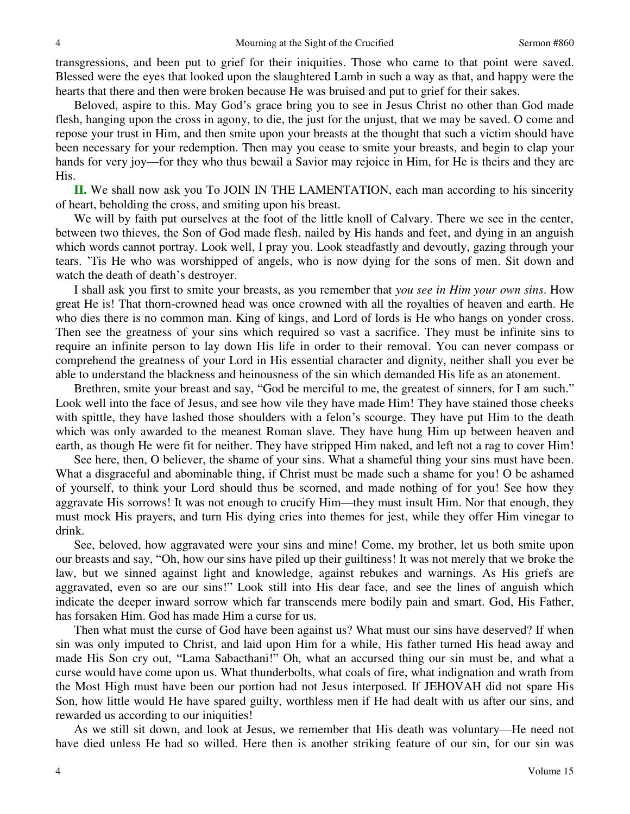transgressions, and been put to grief for their iniquities. Those who came to that point were saved. Blessed were the eyes that looked upon the slaughtered Lamb in such a way as that, and happy were the hearts that there and then were broken because He was bruised and put to grief for their sakes.

 Beloved, aspire to this. May God's grace bring you to see in Jesus Christ no other than God made flesh, hanging upon the cross in agony, to die, the just for the unjust, that we may be saved. O come and repose your trust in Him, and then smite upon your breasts at the thought that such a victim should have been necessary for your redemption. Then may you cease to smite your breasts, and begin to clap your hands for very joy—for they who thus bewail a Savior may rejoice in Him, for He is theirs and they are His.

**II.** We shall now ask you To JOIN IN THE LAMENTATION, each man according to his sincerity of heart, beholding the cross, and smiting upon his breast.

 We will by faith put ourselves at the foot of the little knoll of Calvary. There we see in the center, between two thieves, the Son of God made flesh, nailed by His hands and feet, and dying in an anguish which words cannot portray. Look well, I pray you. Look steadfastly and devoutly, gazing through your tears. 'Tis He who was worshipped of angels, who is now dying for the sons of men. Sit down and watch the death of death's destroyer.

 I shall ask you first to smite your breasts, as you remember that *you see in Him your own sins*. How great He is! That thorn-crowned head was once crowned with all the royalties of heaven and earth. He who dies there is no common man. King of kings, and Lord of lords is He who hangs on yonder cross. Then see the greatness of your sins which required so vast a sacrifice. They must be infinite sins to require an infinite person to lay down His life in order to their removal. You can never compass or comprehend the greatness of your Lord in His essential character and dignity, neither shall you ever be able to understand the blackness and heinousness of the sin which demanded His life as an atonement.

Brethren, smite your breast and say, "God be merciful to me, the greatest of sinners, for I am such." Look well into the face of Jesus, and see how vile they have made Him! They have stained those cheeks with spittle, they have lashed those shoulders with a felon's scourge. They have put Him to the death which was only awarded to the meanest Roman slave. They have hung Him up between heaven and earth, as though He were fit for neither. They have stripped Him naked, and left not a rag to cover Him!

 See here, then, O believer, the shame of your sins. What a shameful thing your sins must have been. What a disgraceful and abominable thing, if Christ must be made such a shame for you! O be ashamed of yourself, to think your Lord should thus be scorned, and made nothing of for you! See how they aggravate His sorrows! It was not enough to crucify Him—they must insult Him. Nor that enough, they must mock His prayers, and turn His dying cries into themes for jest, while they offer Him vinegar to drink.

 See, beloved, how aggravated were your sins and mine! Come, my brother, let us both smite upon our breasts and say, "Oh, how our sins have piled up their guiltiness! It was not merely that we broke the law, but we sinned against light and knowledge, against rebukes and warnings. As His griefs are aggravated, even so are our sins!" Look still into His dear face, and see the lines of anguish which indicate the deeper inward sorrow which far transcends mere bodily pain and smart. God, His Father, has forsaken Him. God has made Him a curse for us*.*

 Then what must the curse of God have been against us? What must our sins have deserved? If when sin was only imputed to Christ, and laid upon Him for a while, His father turned His head away and made His Son cry out, "Lama Sabacthani!" Oh, what an accursed thing our sin must be, and what a curse would have come upon us. What thunderbolts, what coals of fire, what indignation and wrath from the Most High must have been our portion had not Jesus interposed. If JEHOVAH did not spare His Son, how little would He have spared guilty, worthless men if He had dealt with us after our sins, and rewarded us according to our iniquities!

 As we still sit down, and look at Jesus, we remember that His death was voluntary—He need not have died unless He had so willed. Here then is another striking feature of our sin, for our sin was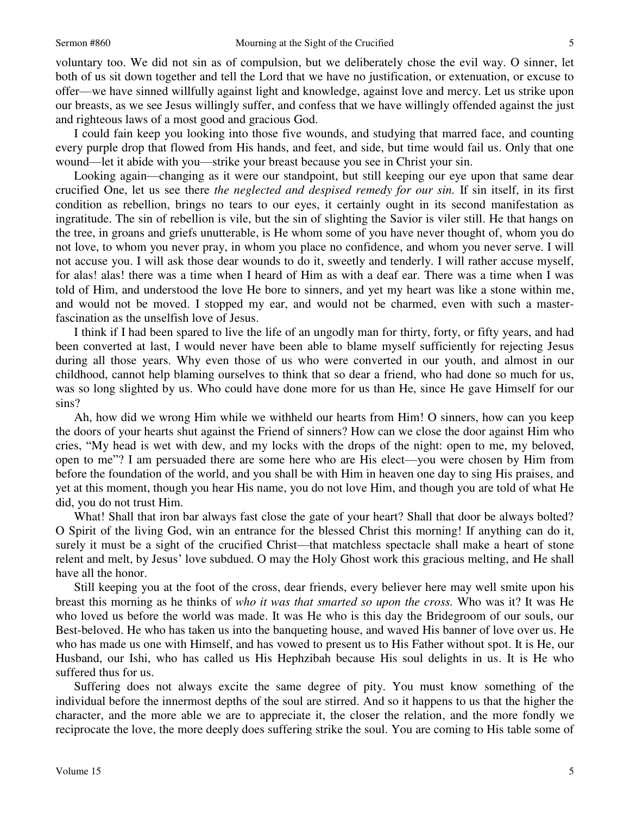5

voluntary too. We did not sin as of compulsion, but we deliberately chose the evil way. O sinner, let both of us sit down together and tell the Lord that we have no justification, or extenuation, or excuse to offer—we have sinned willfully against light and knowledge, against love and mercy. Let us strike upon our breasts, as we see Jesus willingly suffer, and confess that we have willingly offended against the just and righteous laws of a most good and gracious God.

 I could fain keep you looking into those five wounds, and studying that marred face, and counting every purple drop that flowed from His hands, and feet, and side, but time would fail us. Only that one wound—let it abide with you—strike your breast because you see in Christ your sin.

 Looking again—changing as it were our standpoint, but still keeping our eye upon that same dear crucified One, let us see there *the neglected and despised remedy for our sin.* If sin itself, in its first condition as rebellion, brings no tears to our eyes, it certainly ought in its second manifestation as ingratitude. The sin of rebellion is vile, but the sin of slighting the Savior is viler still. He that hangs on the tree, in groans and griefs unutterable, is He whom some of you have never thought of, whom you do not love, to whom you never pray, in whom you place no confidence, and whom you never serve. I will not accuse you. I will ask those dear wounds to do it, sweetly and tenderly. I will rather accuse myself, for alas! alas! there was a time when I heard of Him as with a deaf ear. There was a time when I was told of Him, and understood the love He bore to sinners, and yet my heart was like a stone within me, and would not be moved. I stopped my ear, and would not be charmed, even with such a masterfascination as the unselfish love of Jesus.

 I think if I had been spared to live the life of an ungodly man for thirty, forty, or fifty years, and had been converted at last, I would never have been able to blame myself sufficiently for rejecting Jesus during all those years. Why even those of us who were converted in our youth, and almost in our childhood, cannot help blaming ourselves to think that so dear a friend, who had done so much for us, was so long slighted by us. Who could have done more for us than He, since He gave Himself for our sins?

 Ah, how did we wrong Him while we withheld our hearts from Him! O sinners, how can you keep the doors of your hearts shut against the Friend of sinners? How can we close the door against Him who cries, "My head is wet with dew, and my locks with the drops of the night: open to me, my beloved, open to me"? I am persuaded there are some here who are His elect—you were chosen by Him from before the foundation of the world, and you shall be with Him in heaven one day to sing His praises, and yet at this moment, though you hear His name, you do not love Him, and though you are told of what He did, you do not trust Him.

 What! Shall that iron bar always fast close the gate of your heart? Shall that door be always bolted? O Spirit of the living God, win an entrance for the blessed Christ this morning! If anything can do it, surely it must be a sight of the crucified Christ—that matchless spectacle shall make a heart of stone relent and melt, by Jesus' love subdued. O may the Holy Ghost work this gracious melting, and He shall have all the honor.

 Still keeping you at the foot of the cross, dear friends, every believer here may well smite upon his breast this morning as he thinks of *who it was that smarted so upon the cross.* Who was it? It was He who loved us before the world was made. It was He who is this day the Bridegroom of our souls, our Best-beloved. He who has taken us into the banqueting house, and waved His banner of love over us. He who has made us one with Himself, and has vowed to present us to His Father without spot. It is He, our Husband, our Ishi, who has called us His Hephzibah because His soul delights in us. It is He who suffered thus for us.

 Suffering does not always excite the same degree of pity. You must know something of the individual before the innermost depths of the soul are stirred. And so it happens to us that the higher the character, and the more able we are to appreciate it, the closer the relation, and the more fondly we reciprocate the love, the more deeply does suffering strike the soul. You are coming to His table some of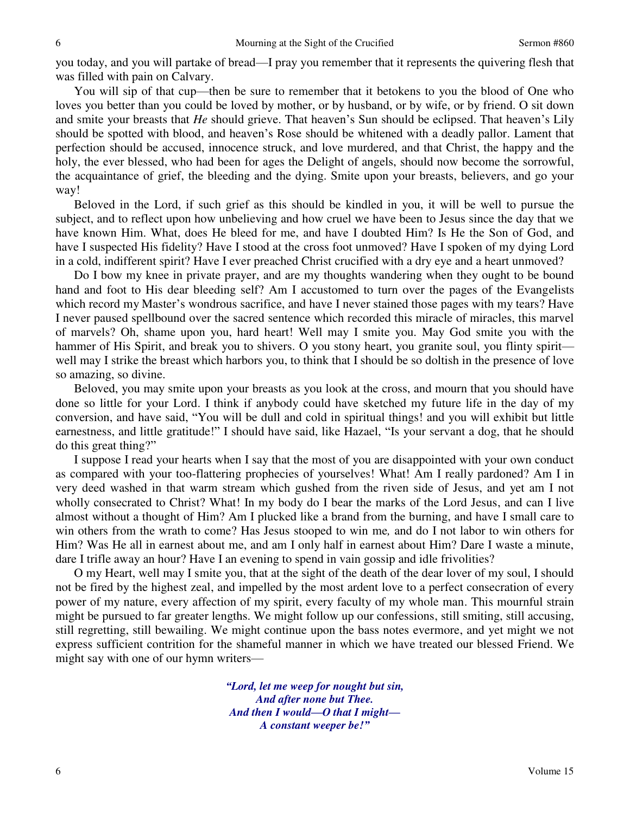you today, and you will partake of bread—I pray you remember that it represents the quivering flesh that was filled with pain on Calvary.

 You will sip of that cup—then be sure to remember that it betokens to you the blood of One who loves you better than you could be loved by mother, or by husband, or by wife, or by friend. O sit down and smite your breasts that *He* should grieve. That heaven's Sun should be eclipsed. That heaven's Lily should be spotted with blood, and heaven's Rose should be whitened with a deadly pallor. Lament that perfection should be accused, innocence struck, and love murdered, and that Christ, the happy and the holy, the ever blessed, who had been for ages the Delight of angels, should now become the sorrowful, the acquaintance of grief, the bleeding and the dying. Smite upon your breasts, believers, and go your way!

 Beloved in the Lord, if such grief as this should be kindled in you, it will be well to pursue the subject, and to reflect upon how unbelieving and how cruel we have been to Jesus since the day that we have known Him. What, does He bleed for me, and have I doubted Him? Is He the Son of God, and have I suspected His fidelity? Have I stood at the cross foot unmoved? Have I spoken of my dying Lord in a cold, indifferent spirit? Have I ever preached Christ crucified with a dry eye and a heart unmoved?

 Do I bow my knee in private prayer, and are my thoughts wandering when they ought to be bound hand and foot to His dear bleeding self? Am I accustomed to turn over the pages of the Evangelists which record my Master's wondrous sacrifice, and have I never stained those pages with my tears? Have I never paused spellbound over the sacred sentence which recorded this miracle of miracles, this marvel of marvels? Oh, shame upon you, hard heart! Well may I smite you. May God smite you with the hammer of His Spirit, and break you to shivers. O you stony heart, you granite soul, you flinty spirit well may I strike the breast which harbors you, to think that I should be so doltish in the presence of love so amazing, so divine.

 Beloved, you may smite upon your breasts as you look at the cross, and mourn that you should have done so little for your Lord. I think if anybody could have sketched my future life in the day of my conversion, and have said, "You will be dull and cold in spiritual things! and you will exhibit but little earnestness, and little gratitude!" I should have said, like Hazael, "Is your servant a dog, that he should do this great thing?"

 I suppose I read your hearts when I say that the most of you are disappointed with your own conduct as compared with your too-flattering prophecies of yourselves! What! Am I really pardoned? Am I in very deed washed in that warm stream which gushed from the riven side of Jesus, and yet am I not wholly consecrated to Christ? What! In my body do I bear the marks of the Lord Jesus, and can I live almost without a thought of Him? Am I plucked like a brand from the burning, and have I small care to win others from the wrath to come? Has Jesus stooped to win me*,* and do I not labor to win others for Him? Was He all in earnest about me, and am I only half in earnest about Him? Dare I waste a minute, dare I trifle away an hour? Have I an evening to spend in vain gossip and idle frivolities?

 O my Heart, well may I smite you, that at the sight of the death of the dear lover of my soul, I should not be fired by the highest zeal, and impelled by the most ardent love to a perfect consecration of every power of my nature, every affection of my spirit, every faculty of my whole man. This mournful strain might be pursued to far greater lengths. We might follow up our confessions, still smiting, still accusing, still regretting, still bewailing. We might continue upon the bass notes evermore, and yet might we not express sufficient contrition for the shameful manner in which we have treated our blessed Friend. We might say with one of our hymn writers—

> *"Lord, let me weep for nought but sin, And after none but Thee. And then I would—O that I might— A constant weeper be!"*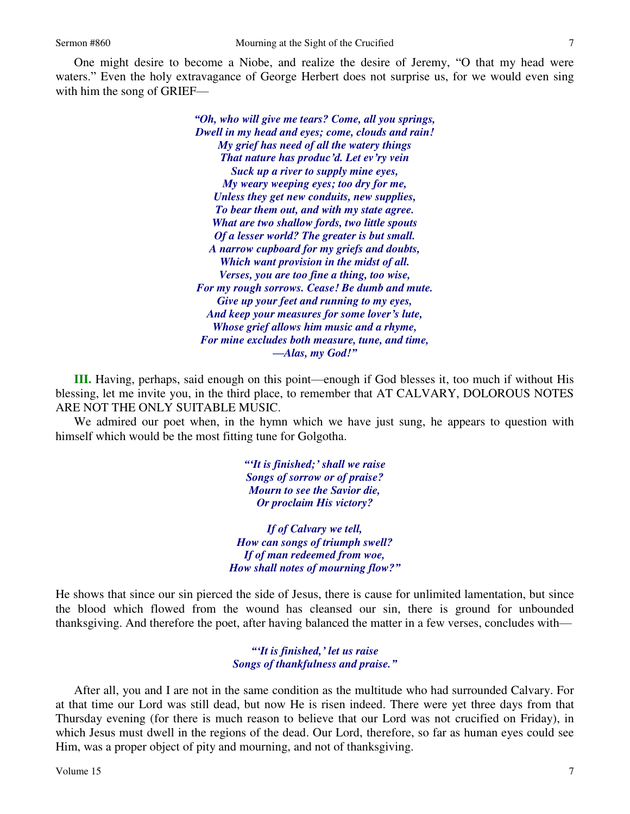One might desire to become a Niobe, and realize the desire of Jeremy, "O that my head were waters." Even the holy extravagance of George Herbert does not surprise us, for we would even sing with him the song of GRIEF—

> *"Oh, who will give me tears? Come, all you springs, Dwell in my head and eyes; come, clouds and rain! My grief has need of all the watery things That nature has produc'd. Let ev'ry vein Suck up a river to supply mine eyes, My weary weeping eyes; too dry for me, Unless they get new conduits, new supplies, To bear them out, and with my state agree. What are two shallow fords, two little spouts Of a lesser world? The greater is but small. A narrow cupboard for my griefs and doubts, Which want provision in the midst of all. Verses, you are too fine a thing, too wise, For my rough sorrows. Cease! Be dumb and mute. Give up your feet and running to my eyes, And keep your measures for some lover's lute, Whose grief allows him music and a rhyme, For mine excludes both measure, tune, and time, —Alas, my God!"*

**III.** Having, perhaps, said enough on this point—enough if God blesses it, too much if without His blessing, let me invite you, in the third place, to remember that AT CALVARY, DOLOROUS NOTES ARE NOT THE ONLY SUITABLE MUSIC.

 We admired our poet when, in the hymn which we have just sung, he appears to question with himself which would be the most fitting tune for Golgotha.

> *"'It is finished;' shall we raise Songs of sorrow or of praise? Mourn to see the Savior die, Or proclaim His victory?*

*If of Calvary we tell, How can songs of triumph swell? If of man redeemed from woe, How shall notes of mourning flow?"*

He shows that since our sin pierced the side of Jesus, there is cause for unlimited lamentation, but since the blood which flowed from the wound has cleansed our sin, there is ground for unbounded thanksgiving. And therefore the poet, after having balanced the matter in a few verses, concludes with—

> *"'It is finished,' let us raise Songs of thankfulness and praise."*

After all, you and I are not in the same condition as the multitude who had surrounded Calvary. For at that time our Lord was still dead, but now He is risen indeed. There were yet three days from that Thursday evening (for there is much reason to believe that our Lord was not crucified on Friday), in which Jesus must dwell in the regions of the dead. Our Lord, therefore, so far as human eyes could see Him, was a proper object of pity and mourning, and not of thanksgiving.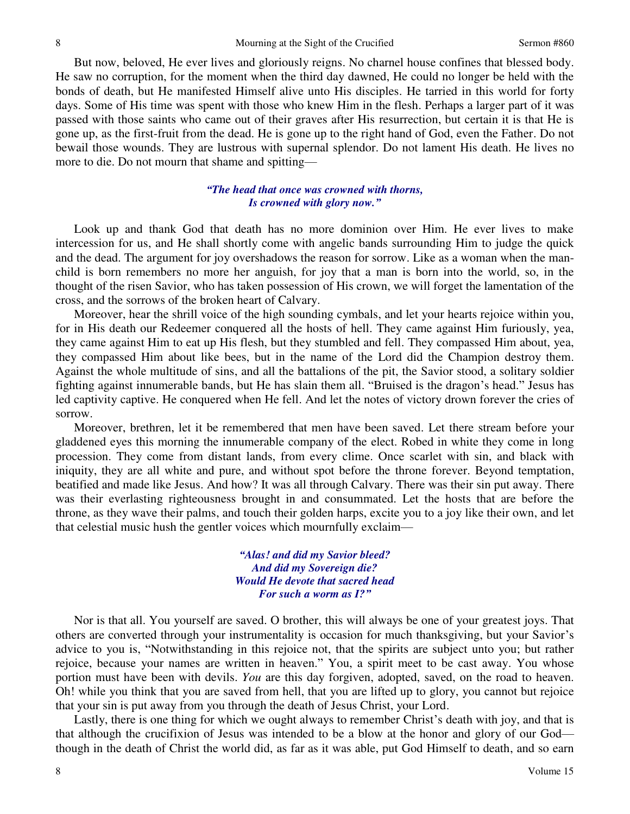But now, beloved, He ever lives and gloriously reigns. No charnel house confines that blessed body. He saw no corruption, for the moment when the third day dawned, He could no longer be held with the bonds of death, but He manifested Himself alive unto His disciples. He tarried in this world for forty days. Some of His time was spent with those who knew Him in the flesh. Perhaps a larger part of it was passed with those saints who came out of their graves after His resurrection, but certain it is that He is gone up, as the first-fruit from the dead. He is gone up to the right hand of God, even the Father. Do not bewail those wounds. They are lustrous with supernal splendor. Do not lament His death. He lives no more to die. Do not mourn that shame and spitting—

### *"The head that once was crowned with thorns, Is crowned with glory now."*

 Look up and thank God that death has no more dominion over Him. He ever lives to make intercession for us, and He shall shortly come with angelic bands surrounding Him to judge the quick and the dead. The argument for joy overshadows the reason for sorrow. Like as a woman when the manchild is born remembers no more her anguish, for joy that a man is born into the world, so, in the thought of the risen Savior, who has taken possession of His crown, we will forget the lamentation of the cross, and the sorrows of the broken heart of Calvary.

 Moreover, hear the shrill voice of the high sounding cymbals, and let your hearts rejoice within you, for in His death our Redeemer conquered all the hosts of hell. They came against Him furiously, yea, they came against Him to eat up His flesh, but they stumbled and fell. They compassed Him about, yea, they compassed Him about like bees, but in the name of the Lord did the Champion destroy them. Against the whole multitude of sins, and all the battalions of the pit, the Savior stood, a solitary soldier fighting against innumerable bands, but He has slain them all. "Bruised is the dragon's head." Jesus has led captivity captive. He conquered when He fell. And let the notes of victory drown forever the cries of sorrow.

 Moreover, brethren, let it be remembered that men have been saved. Let there stream before your gladdened eyes this morning the innumerable company of the elect. Robed in white they come in long procession. They come from distant lands, from every clime. Once scarlet with sin, and black with iniquity, they are all white and pure, and without spot before the throne forever. Beyond temptation, beatified and made like Jesus. And how? It was all through Calvary. There was their sin put away. There was their everlasting righteousness brought in and consummated. Let the hosts that are before the throne, as they wave their palms, and touch their golden harps, excite you to a joy like their own, and let that celestial music hush the gentler voices which mournfully exclaim—

> *"Alas! and did my Savior bleed? And did my Sovereign die? Would He devote that sacred head For such a worm as I?"*

Nor is that all. You yourself are saved. O brother, this will always be one of your greatest joys. That others are converted through your instrumentality is occasion for much thanksgiving, but your Savior's advice to you is, "Notwithstanding in this rejoice not, that the spirits are subject unto you; but rather rejoice, because your names are written in heaven." You, a spirit meet to be cast away. You whose portion must have been with devils. *You* are this day forgiven, adopted, saved, on the road to heaven. Oh! while you think that you are saved from hell, that you are lifted up to glory, you cannot but rejoice that your sin is put away from you through the death of Jesus Christ, your Lord.

 Lastly, there is one thing for which we ought always to remember Christ's death with joy, and that is that although the crucifixion of Jesus was intended to be a blow at the honor and glory of our God though in the death of Christ the world did, as far as it was able, put God Himself to death, and so earn